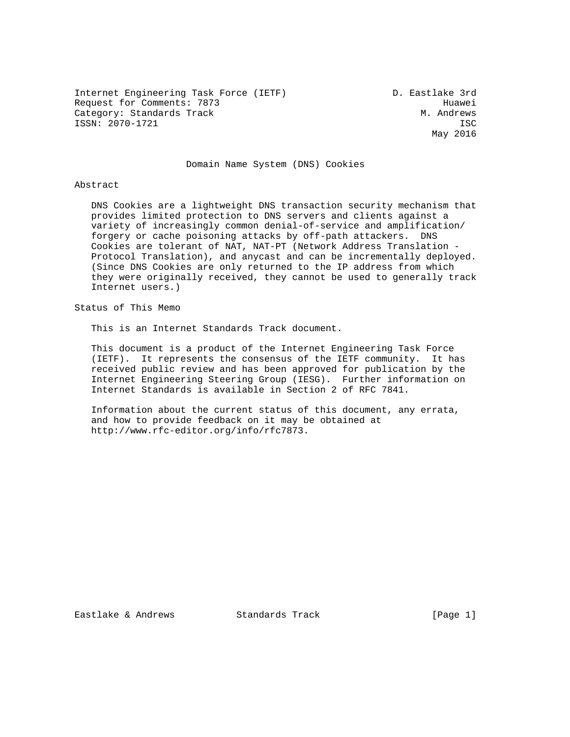Internet Engineering Task Force (IETF) D. Eastlake 3rd Request for Comments: 7873 Huawei Category: Standards Track Metal Metal Category: Standards Track ISSN: 2070-1721 ISC

May 2016

## Domain Name System (DNS) Cookies

#### Abstract

 DNS Cookies are a lightweight DNS transaction security mechanism that provides limited protection to DNS servers and clients against a variety of increasingly common denial-of-service and amplification/ forgery or cache poisoning attacks by off-path attackers. DNS Cookies are tolerant of NAT, NAT-PT (Network Address Translation - Protocol Translation), and anycast and can be incrementally deployed. (Since DNS Cookies are only returned to the IP address from which they were originally received, they cannot be used to generally track Internet users.)

Status of This Memo

This is an Internet Standards Track document.

 This document is a product of the Internet Engineering Task Force (IETF). It represents the consensus of the IETF community. It has received public review and has been approved for publication by the Internet Engineering Steering Group (IESG). Further information on Internet Standards is available in Section 2 of RFC 7841.

 Information about the current status of this document, any errata, and how to provide feedback on it may be obtained at http://www.rfc-editor.org/info/rfc7873.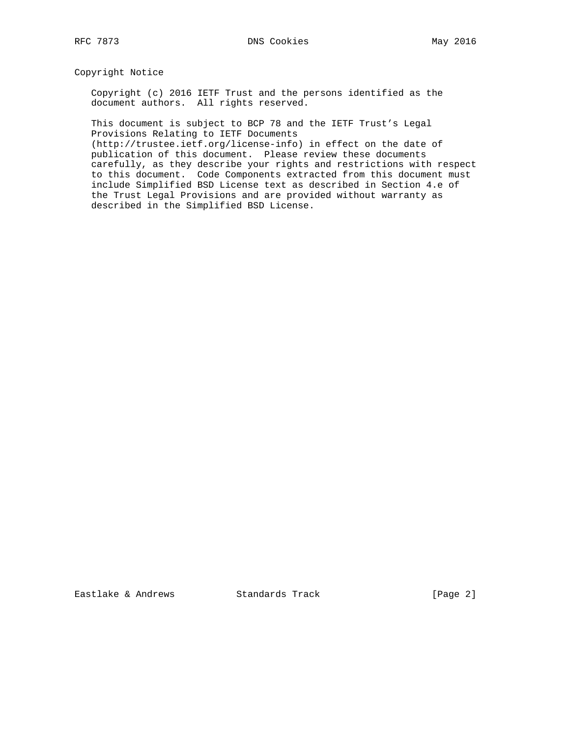Copyright Notice

 Copyright (c) 2016 IETF Trust and the persons identified as the document authors. All rights reserved.

 This document is subject to BCP 78 and the IETF Trust's Legal Provisions Relating to IETF Documents

 (http://trustee.ietf.org/license-info) in effect on the date of publication of this document. Please review these documents carefully, as they describe your rights and restrictions with respect to this document. Code Components extracted from this document must include Simplified BSD License text as described in Section 4.e of the Trust Legal Provisions and are provided without warranty as described in the Simplified BSD License.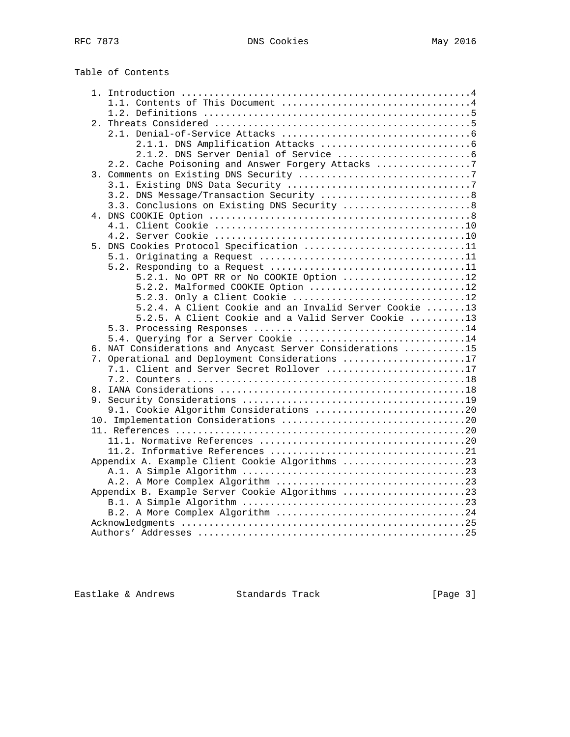| Table of Contents                                                                            |  |
|----------------------------------------------------------------------------------------------|--|
|                                                                                              |  |
|                                                                                              |  |
|                                                                                              |  |
|                                                                                              |  |
|                                                                                              |  |
|                                                                                              |  |
|                                                                                              |  |
| 2.2. Cache Poisoning and Answer Forgery Attacks 7                                            |  |
|                                                                                              |  |
|                                                                                              |  |
| 3.2. DNS Message/Transaction Security 8                                                      |  |
| 3.3. Conclusions on Existing DNS Security 8                                                  |  |
|                                                                                              |  |
|                                                                                              |  |
|                                                                                              |  |
| 5. DNS Cookies Protocol Specification 11                                                     |  |
|                                                                                              |  |
|                                                                                              |  |
| 5.2.1. No OPT RR or No COOKIE Option 12                                                      |  |
| 5.2.2. Malformed COOKIE Option 12                                                            |  |
| 5.2.3. Only a Client Cookie 12                                                               |  |
| 5.2.4. A Client Cookie and an Invalid Server Cookie 13                                       |  |
| 5.2.5. A Client Cookie and a Valid Server Cookie 13                                          |  |
|                                                                                              |  |
| 5.4. Querying for a Server Cookie 14                                                         |  |
|                                                                                              |  |
| 6. NAT Considerations and Anycast Server Considerations 15                                   |  |
| 7. Operational and Deployment Considerations 17<br>7.1. Client and Server Secret Rollover 17 |  |
|                                                                                              |  |
|                                                                                              |  |
|                                                                                              |  |
|                                                                                              |  |
| 9.1. Cookie Algorithm Considerations 20                                                      |  |
|                                                                                              |  |
|                                                                                              |  |
|                                                                                              |  |
|                                                                                              |  |
| Appendix A. Example Client Cookie Algorithms 23                                              |  |
|                                                                                              |  |
|                                                                                              |  |
|                                                                                              |  |
|                                                                                              |  |
|                                                                                              |  |

 Acknowledgments ...................................................25 Authors' Addresses ................................................25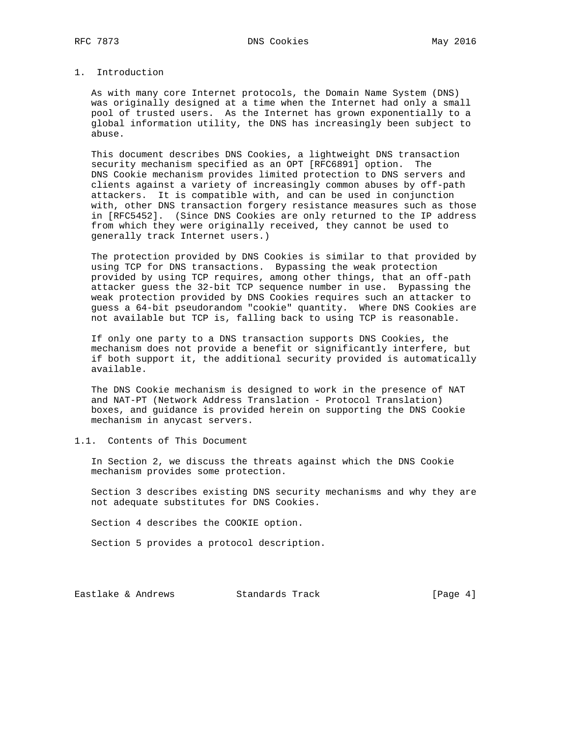# 1. Introduction

 As with many core Internet protocols, the Domain Name System (DNS) was originally designed at a time when the Internet had only a small pool of trusted users. As the Internet has grown exponentially to a global information utility, the DNS has increasingly been subject to abuse.

 This document describes DNS Cookies, a lightweight DNS transaction security mechanism specified as an OPT [RFC6891] option. The DNS Cookie mechanism provides limited protection to DNS servers and clients against a variety of increasingly common abuses by off-path attackers. It is compatible with, and can be used in conjunction with, other DNS transaction forgery resistance measures such as those in [RFC5452]. (Since DNS Cookies are only returned to the IP address from which they were originally received, they cannot be used to generally track Internet users.)

 The protection provided by DNS Cookies is similar to that provided by using TCP for DNS transactions. Bypassing the weak protection provided by using TCP requires, among other things, that an off-path attacker guess the 32-bit TCP sequence number in use. Bypassing the weak protection provided by DNS Cookies requires such an attacker to guess a 64-bit pseudorandom "cookie" quantity. Where DNS Cookies are not available but TCP is, falling back to using TCP is reasonable.

 If only one party to a DNS transaction supports DNS Cookies, the mechanism does not provide a benefit or significantly interfere, but if both support it, the additional security provided is automatically available.

 The DNS Cookie mechanism is designed to work in the presence of NAT and NAT-PT (Network Address Translation - Protocol Translation) boxes, and guidance is provided herein on supporting the DNS Cookie mechanism in anycast servers.

# 1.1. Contents of This Document

 In Section 2, we discuss the threats against which the DNS Cookie mechanism provides some protection.

 Section 3 describes existing DNS security mechanisms and why they are not adequate substitutes for DNS Cookies.

Section 4 describes the COOKIE option.

Section 5 provides a protocol description.

Eastlake & Andrews Standards Track [Page 4]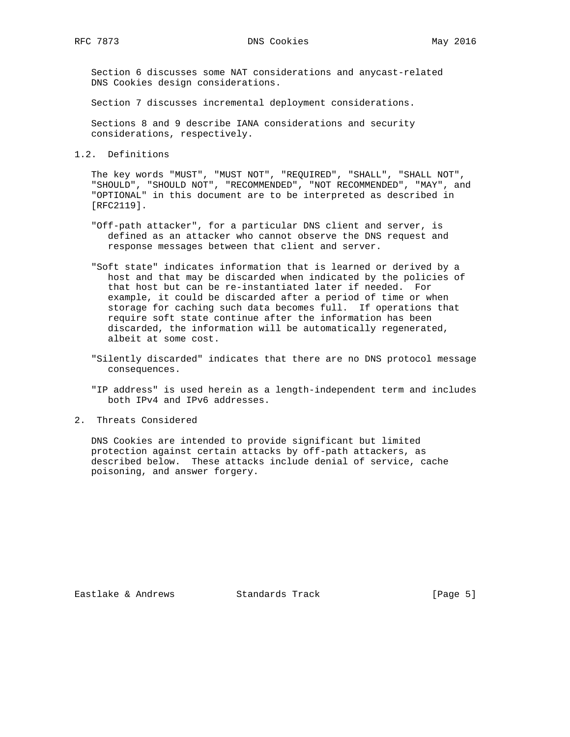Section 6 discusses some NAT considerations and anycast-related DNS Cookies design considerations.

Section 7 discusses incremental deployment considerations.

 Sections 8 and 9 describe IANA considerations and security considerations, respectively.

1.2. Definitions

 The key words "MUST", "MUST NOT", "REQUIRED", "SHALL", "SHALL NOT", "SHOULD", "SHOULD NOT", "RECOMMENDED", "NOT RECOMMENDED", "MAY", and "OPTIONAL" in this document are to be interpreted as described in [RFC2119].

- "Off-path attacker", for a particular DNS client and server, is defined as an attacker who cannot observe the DNS request and response messages between that client and server.
- "Soft state" indicates information that is learned or derived by a host and that may be discarded when indicated by the policies of that host but can be re-instantiated later if needed. For example, it could be discarded after a period of time or when storage for caching such data becomes full. If operations that require soft state continue after the information has been discarded, the information will be automatically regenerated, albeit at some cost.
- "Silently discarded" indicates that there are no DNS protocol message consequences.
- "IP address" is used herein as a length-independent term and includes both IPv4 and IPv6 addresses.
- 2. Threats Considered

 DNS Cookies are intended to provide significant but limited protection against certain attacks by off-path attackers, as described below. These attacks include denial of service, cache poisoning, and answer forgery.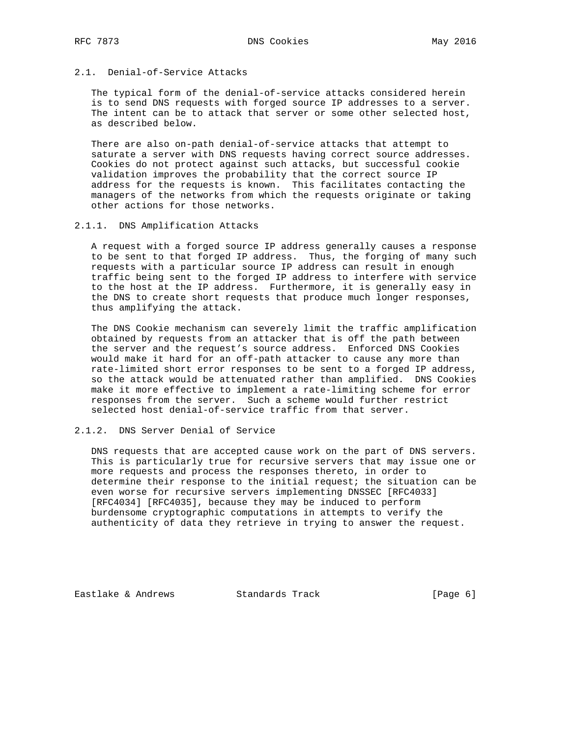# 2.1. Denial-of-Service Attacks

 The typical form of the denial-of-service attacks considered herein is to send DNS requests with forged source IP addresses to a server. The intent can be to attack that server or some other selected host, as described below.

 There are also on-path denial-of-service attacks that attempt to saturate a server with DNS requests having correct source addresses. Cookies do not protect against such attacks, but successful cookie validation improves the probability that the correct source IP address for the requests is known. This facilitates contacting the managers of the networks from which the requests originate or taking other actions for those networks.

## 2.1.1. DNS Amplification Attacks

 A request with a forged source IP address generally causes a response to be sent to that forged IP address. Thus, the forging of many such requests with a particular source IP address can result in enough traffic being sent to the forged IP address to interfere with service to the host at the IP address. Furthermore, it is generally easy in the DNS to create short requests that produce much longer responses, thus amplifying the attack.

 The DNS Cookie mechanism can severely limit the traffic amplification obtained by requests from an attacker that is off the path between the server and the request's source address. Enforced DNS Cookies would make it hard for an off-path attacker to cause any more than rate-limited short error responses to be sent to a forged IP address, so the attack would be attenuated rather than amplified. DNS Cookies make it more effective to implement a rate-limiting scheme for error responses from the server. Such a scheme would further restrict selected host denial-of-service traffic from that server.

# 2.1.2. DNS Server Denial of Service

 DNS requests that are accepted cause work on the part of DNS servers. This is particularly true for recursive servers that may issue one or more requests and process the responses thereto, in order to determine their response to the initial request; the situation can be even worse for recursive servers implementing DNSSEC [RFC4033] [RFC4034] [RFC4035], because they may be induced to perform burdensome cryptographic computations in attempts to verify the authenticity of data they retrieve in trying to answer the request.

Eastlake & Andrews Standards Track [Page 6]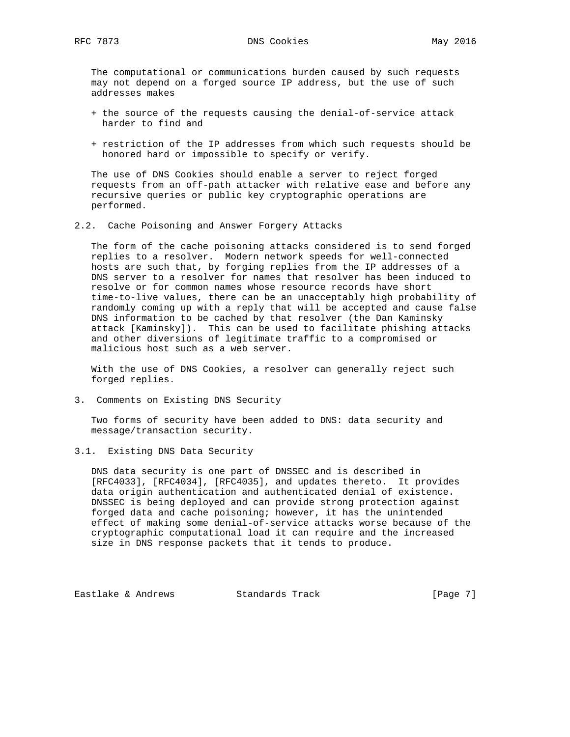The computational or communications burden caused by such requests may not depend on a forged source IP address, but the use of such addresses makes

- + the source of the requests causing the denial-of-service attack harder to find and
- + restriction of the IP addresses from which such requests should be honored hard or impossible to specify or verify.

 The use of DNS Cookies should enable a server to reject forged requests from an off-path attacker with relative ease and before any recursive queries or public key cryptographic operations are performed.

2.2. Cache Poisoning and Answer Forgery Attacks

 The form of the cache poisoning attacks considered is to send forged replies to a resolver. Modern network speeds for well-connected hosts are such that, by forging replies from the IP addresses of a DNS server to a resolver for names that resolver has been induced to resolve or for common names whose resource records have short time-to-live values, there can be an unacceptably high probability of randomly coming up with a reply that will be accepted and cause false DNS information to be cached by that resolver (the Dan Kaminsky attack [Kaminsky]). This can be used to facilitate phishing attacks and other diversions of legitimate traffic to a compromised or malicious host such as a web server.

 With the use of DNS Cookies, a resolver can generally reject such forged replies.

3. Comments on Existing DNS Security

 Two forms of security have been added to DNS: data security and message/transaction security.

3.1. Existing DNS Data Security

 DNS data security is one part of DNSSEC and is described in [RFC4033], [RFC4034], [RFC4035], and updates thereto. It provides data origin authentication and authenticated denial of existence. DNSSEC is being deployed and can provide strong protection against forged data and cache poisoning; however, it has the unintended effect of making some denial-of-service attacks worse because of the cryptographic computational load it can require and the increased size in DNS response packets that it tends to produce.

Eastlake & Andrews Standards Track [Page 7]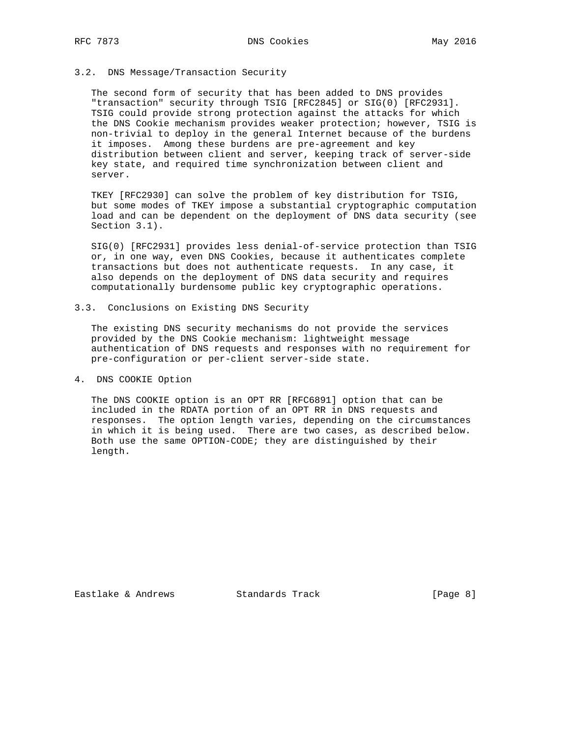## 3.2. DNS Message/Transaction Security

 The second form of security that has been added to DNS provides "transaction" security through TSIG [RFC2845] or SIG(0) [RFC2931]. TSIG could provide strong protection against the attacks for which the DNS Cookie mechanism provides weaker protection; however, TSIG is non-trivial to deploy in the general Internet because of the burdens it imposes. Among these burdens are pre-agreement and key distribution between client and server, keeping track of server-side key state, and required time synchronization between client and server.

 TKEY [RFC2930] can solve the problem of key distribution for TSIG, but some modes of TKEY impose a substantial cryptographic computation load and can be dependent on the deployment of DNS data security (see Section 3.1).

 SIG(0) [RFC2931] provides less denial-of-service protection than TSIG or, in one way, even DNS Cookies, because it authenticates complete transactions but does not authenticate requests. In any case, it also depends on the deployment of DNS data security and requires computationally burdensome public key cryptographic operations.

3.3. Conclusions on Existing DNS Security

 The existing DNS security mechanisms do not provide the services provided by the DNS Cookie mechanism: lightweight message authentication of DNS requests and responses with no requirement for pre-configuration or per-client server-side state.

4. DNS COOKIE Option

 The DNS COOKIE option is an OPT RR [RFC6891] option that can be included in the RDATA portion of an OPT RR in DNS requests and responses. The option length varies, depending on the circumstances in which it is being used. There are two cases, as described below. Both use the same OPTION-CODE; they are distinguished by their length.

Eastlake & Andrews Standards Track [Page 8]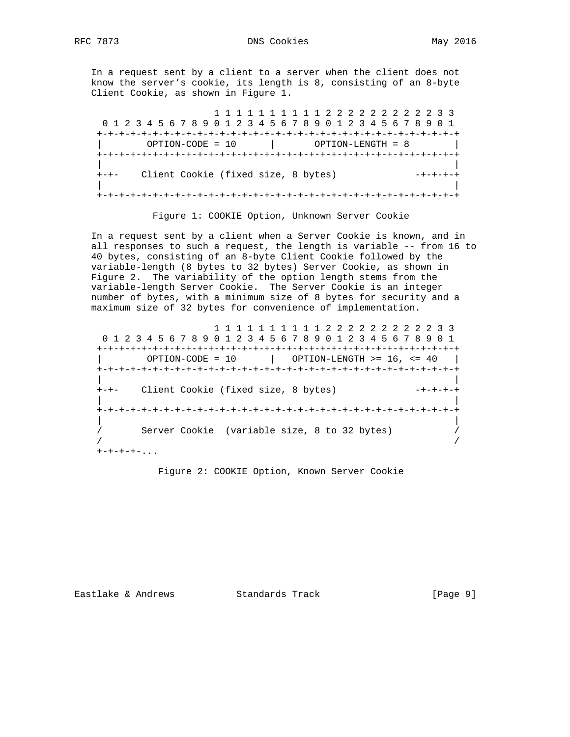In a request sent by a client to a server when the client does not know the server's cookie, its length is 8, consisting of an 8-byte Client Cookie, as shown in Figure 1.

 1 1 1 1 1 1 1 1 1 1 2 2 2 2 2 2 2 2 2 2 3 3 0 1 2 3 4 5 6 7 8 9 0 1 2 3 4 5 6 7 8 9 0 1 2 3 4 5 6 7 8 9 0 1 +-+-+-+-+-+-+-+-+-+-+-+-+-+-+-+-+-+-+-+-+-+-+-+-+-+-+-+-+-+-+-+-+ | OPTION-CODE = 10 | OPTION-LENGTH = 8 | +-+-+-+-+-+-+-+-+-+-+-+-+-+-+-+-+-+-+-+-+-+-+-+-+-+-+-+-+-+-+-+-+ | | +-+- Client Cookie (fixed size, 8 bytes) -+-+-+-+ | | +-+-+-+-+-+-+-+-+-+-+-+-+-+-+-+-+-+-+-+-+-+-+-+-+-+-+-+-+-+-+-+-+

Figure 1: COOKIE Option, Unknown Server Cookie

 In a request sent by a client when a Server Cookie is known, and in all responses to such a request, the length is variable -- from 16 to 40 bytes, consisting of an 8-byte Client Cookie followed by the variable-length (8 bytes to 32 bytes) Server Cookie, as shown in Figure 2. The variability of the option length stems from the variable-length Server Cookie. The Server Cookie is an integer number of bytes, with a minimum size of 8 bytes for security and a maximum size of 32 bytes for convenience of implementation.

 1 1 1 1 1 1 1 1 1 1 2 2 2 2 2 2 2 2 2 2 3 3 0 1 2 3 4 5 6 7 8 9 0 1 2 3 4 5 6 7 8 9 0 1 2 3 4 5 6 7 8 9 0 1 +-+-+-+-+-+-+-+-+-+-+-+-+-+-+-+-+-+-+-+-+-+-+-+-+-+-+-+-+-+-+-+-+ | OPTION-CODE = 10 | OPTION-LENGTH >= 16, <= 40 | +-+-+-+-+-+-+-+-+-+-+-+-+-+-+-+-+-+-+-+-+-+-+-+-+-+-+-+-+-+-+-+-+ | | +-+- Client Cookie (fixed size, 8 bytes) | | +-+-+-+-+-+-+-+-+-+-+-+-+-+-+-+-+-+-+-+-+-+-+-+-+-+-+-+-+-+-+-+-+ | | / Server Cookie (variable size, 8 to 32 bytes) / / /  $+ - + - + - + -$ ...

Figure 2: COOKIE Option, Known Server Cookie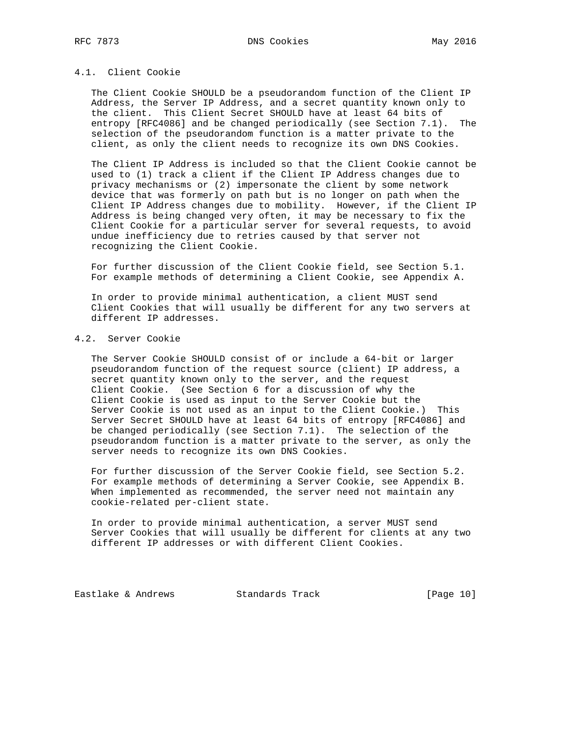# 4.1. Client Cookie

 The Client Cookie SHOULD be a pseudorandom function of the Client IP Address, the Server IP Address, and a secret quantity known only to the client. This Client Secret SHOULD have at least 64 bits of entropy [RFC4086] and be changed periodically (see Section 7.1). The selection of the pseudorandom function is a matter private to the client, as only the client needs to recognize its own DNS Cookies.

 The Client IP Address is included so that the Client Cookie cannot be used to (1) track a client if the Client IP Address changes due to privacy mechanisms or (2) impersonate the client by some network device that was formerly on path but is no longer on path when the Client IP Address changes due to mobility. However, if the Client IP Address is being changed very often, it may be necessary to fix the Client Cookie for a particular server for several requests, to avoid undue inefficiency due to retries caused by that server not recognizing the Client Cookie.

 For further discussion of the Client Cookie field, see Section 5.1. For example methods of determining a Client Cookie, see Appendix A.

 In order to provide minimal authentication, a client MUST send Client Cookies that will usually be different for any two servers at different IP addresses.

# 4.2. Server Cookie

 The Server Cookie SHOULD consist of or include a 64-bit or larger pseudorandom function of the request source (client) IP address, a secret quantity known only to the server, and the request Client Cookie. (See Section 6 for a discussion of why the Client Cookie is used as input to the Server Cookie but the Server Cookie is not used as an input to the Client Cookie.) This Server Secret SHOULD have at least 64 bits of entropy [RFC4086] and be changed periodically (see Section 7.1). The selection of the pseudorandom function is a matter private to the server, as only the server needs to recognize its own DNS Cookies.

 For further discussion of the Server Cookie field, see Section 5.2. For example methods of determining a Server Cookie, see Appendix B. When implemented as recommended, the server need not maintain any cookie-related per-client state.

 In order to provide minimal authentication, a server MUST send Server Cookies that will usually be different for clients at any two different IP addresses or with different Client Cookies.

Eastlake & Andrews Standards Track [Page 10]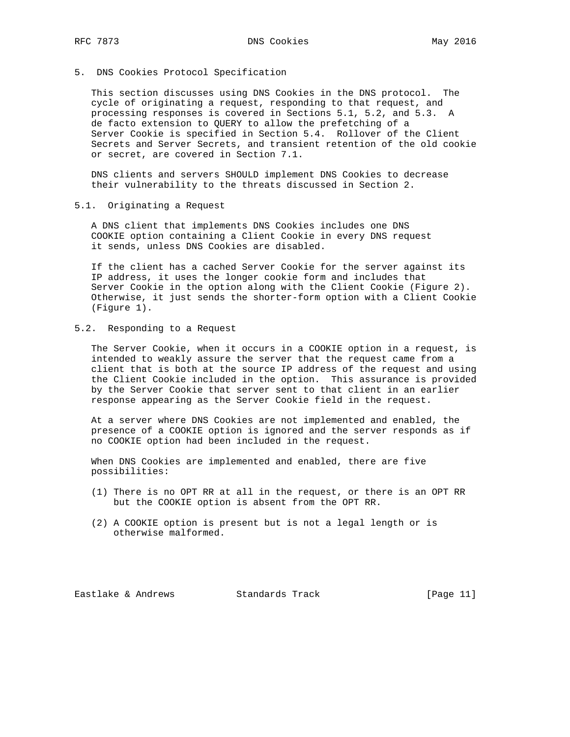5. DNS Cookies Protocol Specification

 This section discusses using DNS Cookies in the DNS protocol. The cycle of originating a request, responding to that request, and processing responses is covered in Sections 5.1, 5.2, and 5.3. A de facto extension to QUERY to allow the prefetching of a Server Cookie is specified in Section 5.4. Rollover of the Client Secrets and Server Secrets, and transient retention of the old cookie or secret, are covered in Section 7.1.

 DNS clients and servers SHOULD implement DNS Cookies to decrease their vulnerability to the threats discussed in Section 2.

5.1. Originating a Request

 A DNS client that implements DNS Cookies includes one DNS COOKIE option containing a Client Cookie in every DNS request it sends, unless DNS Cookies are disabled.

 If the client has a cached Server Cookie for the server against its IP address, it uses the longer cookie form and includes that Server Cookie in the option along with the Client Cookie (Figure 2). Otherwise, it just sends the shorter-form option with a Client Cookie (Figure 1).

5.2. Responding to a Request

 The Server Cookie, when it occurs in a COOKIE option in a request, is intended to weakly assure the server that the request came from a client that is both at the source IP address of the request and using the Client Cookie included in the option. This assurance is provided by the Server Cookie that server sent to that client in an earlier response appearing as the Server Cookie field in the request.

 At a server where DNS Cookies are not implemented and enabled, the presence of a COOKIE option is ignored and the server responds as if no COOKIE option had been included in the request.

 When DNS Cookies are implemented and enabled, there are five possibilities:

- (1) There is no OPT RR at all in the request, or there is an OPT RR but the COOKIE option is absent from the OPT RR.
- (2) A COOKIE option is present but is not a legal length or is otherwise malformed.

Eastlake & Andrews Standards Track [Page 11]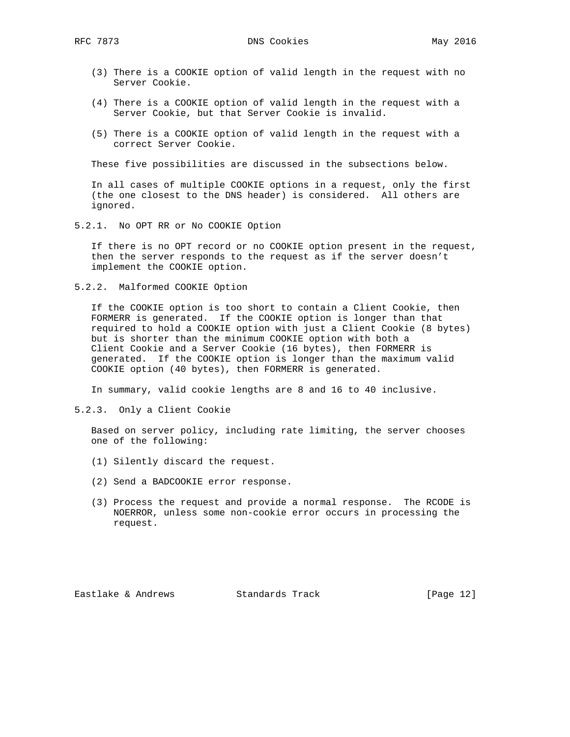- (3) There is a COOKIE option of valid length in the request with no Server Cookie.
- (4) There is a COOKIE option of valid length in the request with a Server Cookie, but that Server Cookie is invalid.
- (5) There is a COOKIE option of valid length in the request with a correct Server Cookie.

These five possibilities are discussed in the subsections below.

 In all cases of multiple COOKIE options in a request, only the first (the one closest to the DNS header) is considered. All others are ignored.

5.2.1. No OPT RR or No COOKIE Option

 If there is no OPT record or no COOKIE option present in the request, then the server responds to the request as if the server doesn't implement the COOKIE option.

5.2.2. Malformed COOKIE Option

 If the COOKIE option is too short to contain a Client Cookie, then FORMERR is generated. If the COOKIE option is longer than that required to hold a COOKIE option with just a Client Cookie (8 bytes) but is shorter than the minimum COOKIE option with both a Client Cookie and a Server Cookie (16 bytes), then FORMERR is generated. If the COOKIE option is longer than the maximum valid COOKIE option (40 bytes), then FORMERR is generated.

In summary, valid cookie lengths are 8 and 16 to 40 inclusive.

5.2.3. Only a Client Cookie

 Based on server policy, including rate limiting, the server chooses one of the following:

- (1) Silently discard the request.
- (2) Send a BADCOOKIE error response.
- (3) Process the request and provide a normal response. The RCODE is NOERROR, unless some non-cookie error occurs in processing the request.

Eastlake & Andrews Standards Track [Page 12]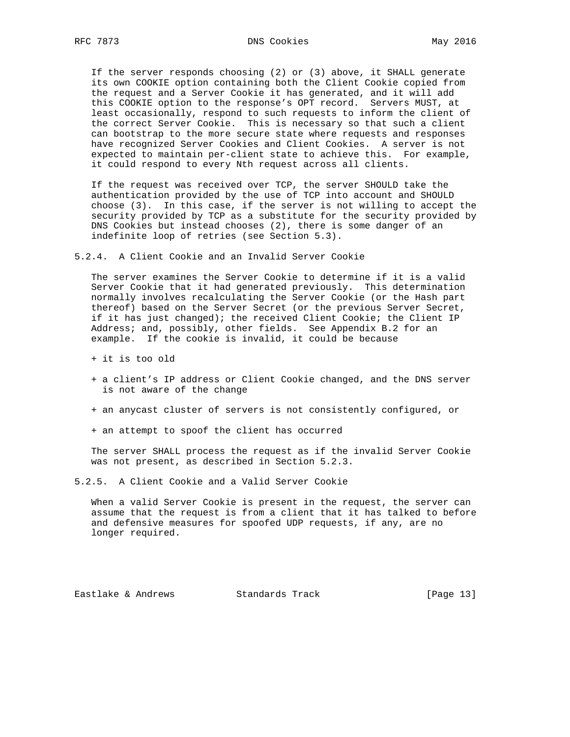If the server responds choosing (2) or (3) above, it SHALL generate its own COOKIE option containing both the Client Cookie copied from the request and a Server Cookie it has generated, and it will add this COOKIE option to the response's OPT record. Servers MUST, at least occasionally, respond to such requests to inform the client of the correct Server Cookie. This is necessary so that such a client can bootstrap to the more secure state where requests and responses have recognized Server Cookies and Client Cookies. A server is not expected to maintain per-client state to achieve this. For example, it could respond to every Nth request across all clients.

 If the request was received over TCP, the server SHOULD take the authentication provided by the use of TCP into account and SHOULD choose (3). In this case, if the server is not willing to accept the security provided by TCP as a substitute for the security provided by DNS Cookies but instead chooses (2), there is some danger of an indefinite loop of retries (see Section 5.3).

5.2.4. A Client Cookie and an Invalid Server Cookie

 The server examines the Server Cookie to determine if it is a valid Server Cookie that it had generated previously. This determination normally involves recalculating the Server Cookie (or the Hash part thereof) based on the Server Secret (or the previous Server Secret, if it has just changed); the received Client Cookie; the Client IP Address; and, possibly, other fields. See Appendix B.2 for an example. If the cookie is invalid, it could be because

- + it is too old
- + a client's IP address or Client Cookie changed, and the DNS server is not aware of the change
- + an anycast cluster of servers is not consistently configured, or
- + an attempt to spoof the client has occurred

 The server SHALL process the request as if the invalid Server Cookie was not present, as described in Section 5.2.3.

5.2.5. A Client Cookie and a Valid Server Cookie

 When a valid Server Cookie is present in the request, the server can assume that the request is from a client that it has talked to before and defensive measures for spoofed UDP requests, if any, are no longer required.

Eastlake & Andrews Standards Track [Page 13]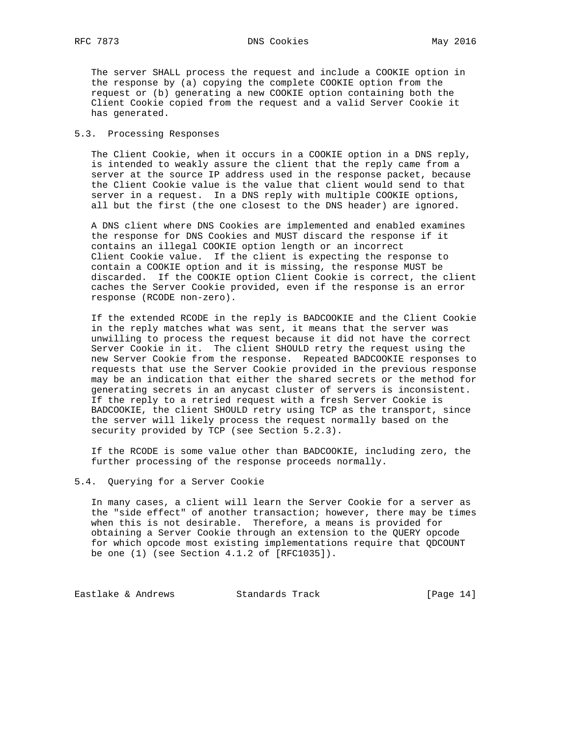The server SHALL process the request and include a COOKIE option in the response by (a) copying the complete COOKIE option from the request or (b) generating a new COOKIE option containing both the Client Cookie copied from the request and a valid Server Cookie it has generated.

## 5.3. Processing Responses

 The Client Cookie, when it occurs in a COOKIE option in a DNS reply, is intended to weakly assure the client that the reply came from a server at the source IP address used in the response packet, because the Client Cookie value is the value that client would send to that server in a request. In a DNS reply with multiple COOKIE options, all but the first (the one closest to the DNS header) are ignored.

 A DNS client where DNS Cookies are implemented and enabled examines the response for DNS Cookies and MUST discard the response if it contains an illegal COOKIE option length or an incorrect Client Cookie value. If the client is expecting the response to contain a COOKIE option and it is missing, the response MUST be discarded. If the COOKIE option Client Cookie is correct, the client caches the Server Cookie provided, even if the response is an error response (RCODE non-zero).

 If the extended RCODE in the reply is BADCOOKIE and the Client Cookie in the reply matches what was sent, it means that the server was unwilling to process the request because it did not have the correct Server Cookie in it. The client SHOULD retry the request using the new Server Cookie from the response. Repeated BADCOOKIE responses to requests that use the Server Cookie provided in the previous response may be an indication that either the shared secrets or the method for generating secrets in an anycast cluster of servers is inconsistent. If the reply to a retried request with a fresh Server Cookie is BADCOOKIE, the client SHOULD retry using TCP as the transport, since the server will likely process the request normally based on the security provided by TCP (see Section 5.2.3).

 If the RCODE is some value other than BADCOOKIE, including zero, the further processing of the response proceeds normally.

## 5.4. Querying for a Server Cookie

 In many cases, a client will learn the Server Cookie for a server as the "side effect" of another transaction; however, there may be times when this is not desirable. Therefore, a means is provided for obtaining a Server Cookie through an extension to the QUERY opcode for which opcode most existing implementations require that QDCOUNT be one (1) (see Section 4.1.2 of [RFC1035]).

Eastlake & Andrews Standards Track [Page 14]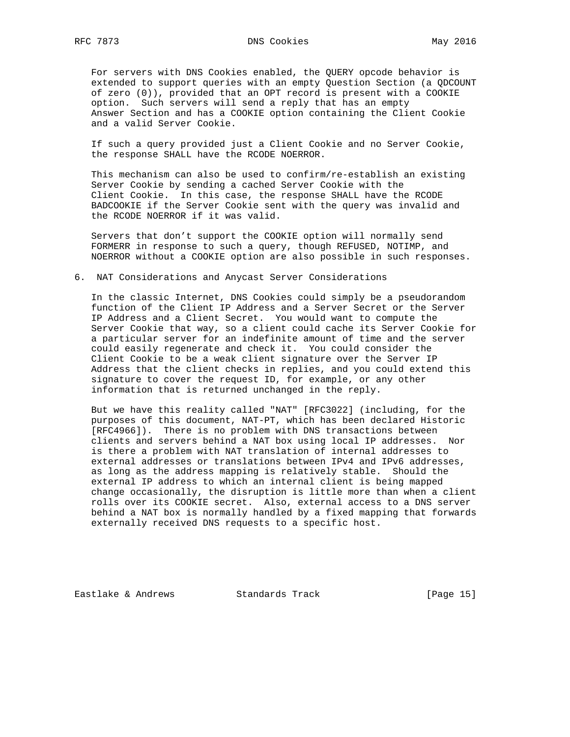For servers with DNS Cookies enabled, the QUERY opcode behavior is extended to support queries with an empty Question Section (a QDCOUNT of zero (0)), provided that an OPT record is present with a COOKIE option. Such servers will send a reply that has an empty Answer Section and has a COOKIE option containing the Client Cookie and a valid Server Cookie.

 If such a query provided just a Client Cookie and no Server Cookie, the response SHALL have the RCODE NOERROR.

 This mechanism can also be used to confirm/re-establish an existing Server Cookie by sending a cached Server Cookie with the Client Cookie. In this case, the response SHALL have the RCODE BADCOOKIE if the Server Cookie sent with the query was invalid and the RCODE NOERROR if it was valid.

 Servers that don't support the COOKIE option will normally send FORMERR in response to such a query, though REFUSED, NOTIMP, and NOERROR without a COOKIE option are also possible in such responses.

## 6. NAT Considerations and Anycast Server Considerations

 In the classic Internet, DNS Cookies could simply be a pseudorandom function of the Client IP Address and a Server Secret or the Server IP Address and a Client Secret. You would want to compute the Server Cookie that way, so a client could cache its Server Cookie for a particular server for an indefinite amount of time and the server could easily regenerate and check it. You could consider the Client Cookie to be a weak client signature over the Server IP Address that the client checks in replies, and you could extend this signature to cover the request ID, for example, or any other information that is returned unchanged in the reply.

 But we have this reality called "NAT" [RFC3022] (including, for the purposes of this document, NAT-PT, which has been declared Historic [RFC4966]). There is no problem with DNS transactions between clients and servers behind a NAT box using local IP addresses. Nor is there a problem with NAT translation of internal addresses to external addresses or translations between IPv4 and IPv6 addresses, as long as the address mapping is relatively stable. Should the external IP address to which an internal client is being mapped change occasionally, the disruption is little more than when a client rolls over its COOKIE secret. Also, external access to a DNS server behind a NAT box is normally handled by a fixed mapping that forwards externally received DNS requests to a specific host.

Eastlake & Andrews Standards Track [Page 15]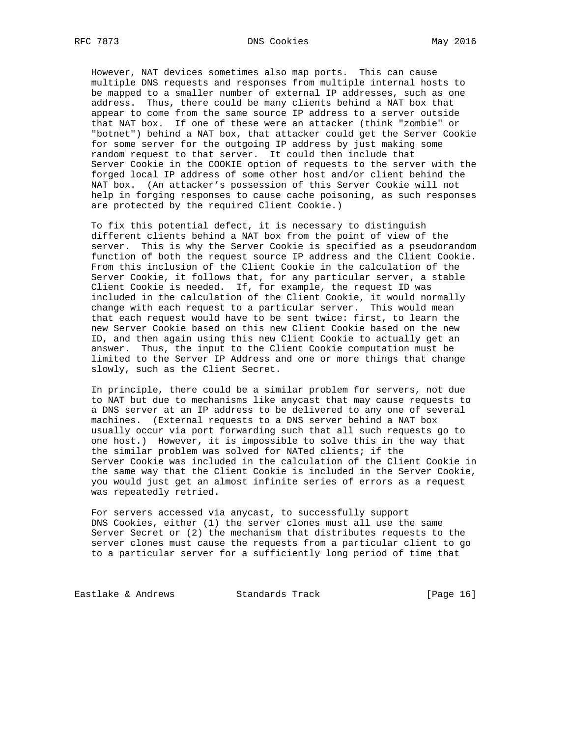However, NAT devices sometimes also map ports. This can cause multiple DNS requests and responses from multiple internal hosts to be mapped to a smaller number of external IP addresses, such as one address. Thus, there could be many clients behind a NAT box that appear to come from the same source IP address to a server outside that NAT box. If one of these were an attacker (think "zombie" or "botnet") behind a NAT box, that attacker could get the Server Cookie for some server for the outgoing IP address by just making some random request to that server. It could then include that Server Cookie in the COOKIE option of requests to the server with the forged local IP address of some other host and/or client behind the NAT box. (An attacker's possession of this Server Cookie will not help in forging responses to cause cache poisoning, as such responses are protected by the required Client Cookie.)

 To fix this potential defect, it is necessary to distinguish different clients behind a NAT box from the point of view of the server. This is why the Server Cookie is specified as a pseudorandom function of both the request source IP address and the Client Cookie. From this inclusion of the Client Cookie in the calculation of the Server Cookie, it follows that, for any particular server, a stable Client Cookie is needed. If, for example, the request ID was included in the calculation of the Client Cookie, it would normally change with each request to a particular server. This would mean that each request would have to be sent twice: first, to learn the new Server Cookie based on this new Client Cookie based on the new ID, and then again using this new Client Cookie to actually get an answer. Thus, the input to the Client Cookie computation must be limited to the Server IP Address and one or more things that change slowly, such as the Client Secret.

 In principle, there could be a similar problem for servers, not due to NAT but due to mechanisms like anycast that may cause requests to a DNS server at an IP address to be delivered to any one of several machines. (External requests to a DNS server behind a NAT box usually occur via port forwarding such that all such requests go to one host.) However, it is impossible to solve this in the way that the similar problem was solved for NATed clients; if the Server Cookie was included in the calculation of the Client Cookie in the same way that the Client Cookie is included in the Server Cookie, you would just get an almost infinite series of errors as a request was repeatedly retried.

 For servers accessed via anycast, to successfully support DNS Cookies, either (1) the server clones must all use the same Server Secret or (2) the mechanism that distributes requests to the server clones must cause the requests from a particular client to go to a particular server for a sufficiently long period of time that

Eastlake & Andrews Standards Track [Page 16]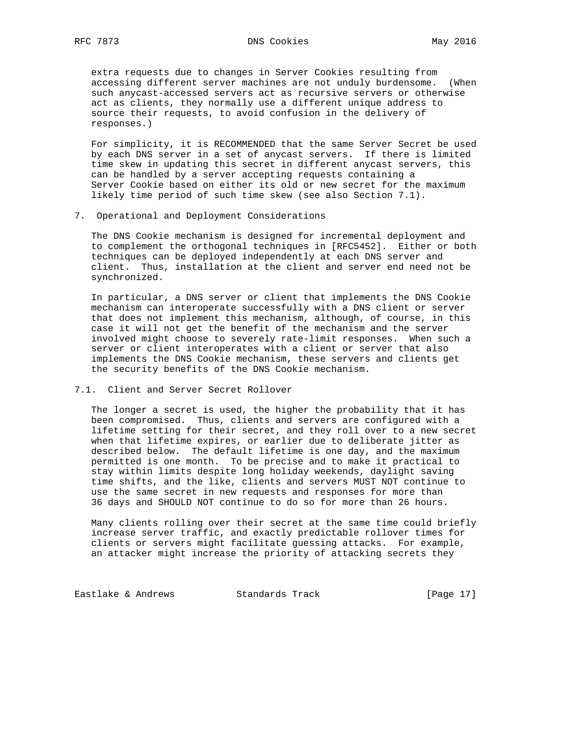extra requests due to changes in Server Cookies resulting from accessing different server machines are not unduly burdensome. (When such anycast-accessed servers act as recursive servers or otherwise act as clients, they normally use a different unique address to source their requests, to avoid confusion in the delivery of responses.)

 For simplicity, it is RECOMMENDED that the same Server Secret be used by each DNS server in a set of anycast servers. If there is limited time skew in updating this secret in different anycast servers, this can be handled by a server accepting requests containing a Server Cookie based on either its old or new secret for the maximum likely time period of such time skew (see also Section 7.1).

7. Operational and Deployment Considerations

 The DNS Cookie mechanism is designed for incremental deployment and to complement the orthogonal techniques in [RFC5452]. Either or both techniques can be deployed independently at each DNS server and client. Thus, installation at the client and server end need not be synchronized.

 In particular, a DNS server or client that implements the DNS Cookie mechanism can interoperate successfully with a DNS client or server that does not implement this mechanism, although, of course, in this case it will not get the benefit of the mechanism and the server involved might choose to severely rate-limit responses. When such a server or client interoperates with a client or server that also implements the DNS Cookie mechanism, these servers and clients get the security benefits of the DNS Cookie mechanism.

7.1. Client and Server Secret Rollover

 The longer a secret is used, the higher the probability that it has been compromised. Thus, clients and servers are configured with a lifetime setting for their secret, and they roll over to a new secret when that lifetime expires, or earlier due to deliberate jitter as described below. The default lifetime is one day, and the maximum permitted is one month. To be precise and to make it practical to stay within limits despite long holiday weekends, daylight saving time shifts, and the like, clients and servers MUST NOT continue to use the same secret in new requests and responses for more than 36 days and SHOULD NOT continue to do so for more than 26 hours.

 Many clients rolling over their secret at the same time could briefly increase server traffic, and exactly predictable rollover times for clients or servers might facilitate guessing attacks. For example, an attacker might increase the priority of attacking secrets they

Eastlake & Andrews Standards Track [Page 17]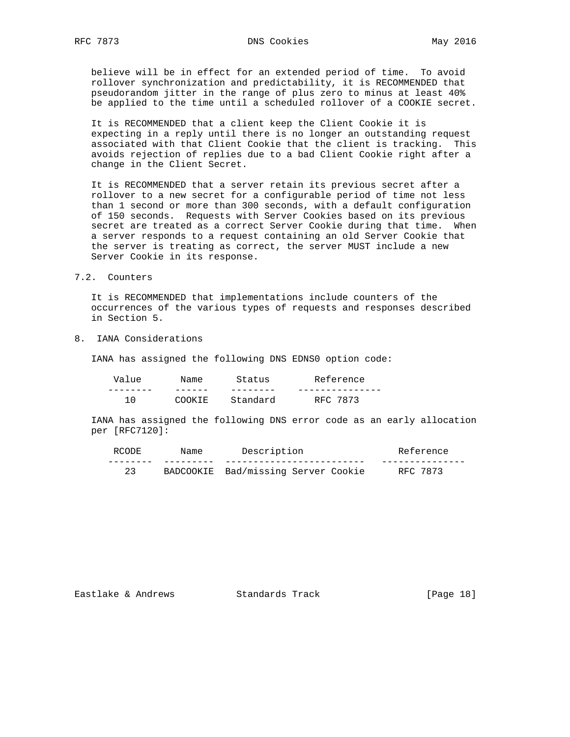believe will be in effect for an extended period of time. To avoid rollover synchronization and predictability, it is RECOMMENDED that pseudorandom jitter in the range of plus zero to minus at least 40% be applied to the time until a scheduled rollover of a COOKIE secret.

 It is RECOMMENDED that a client keep the Client Cookie it is expecting in a reply until there is no longer an outstanding request associated with that Client Cookie that the client is tracking. This avoids rejection of replies due to a bad Client Cookie right after a change in the Client Secret.

 It is RECOMMENDED that a server retain its previous secret after a rollover to a new secret for a configurable period of time not less than 1 second or more than 300 seconds, with a default configuration of 150 seconds. Requests with Server Cookies based on its previous secret are treated as a correct Server Cookie during that time. When a server responds to a request containing an old Server Cookie that the server is treating as correct, the server MUST include a new Server Cookie in its response.

### 7.2. Counters

 It is RECOMMENDED that implementations include counters of the occurrences of the various types of requests and responses described in Section 5.

# 8. IANA Considerations

IANA has assigned the following DNS EDNS0 option code:

| Value | Name    | Status   | Reference |
|-------|---------|----------|-----------|
|       |         |          |           |
| 1 በ   | MOOKTE. | Standard | RFC 7873  |

 IANA has assigned the following DNS error code as an early allocation per [RFC7120]:

| <b>RCODE</b> | Name | Description                         | Reference |
|--------------|------|-------------------------------------|-----------|
|              |      |                                     |           |
|              |      | BADCOOKIE Bad/missing Server Cookie | RFC 7873  |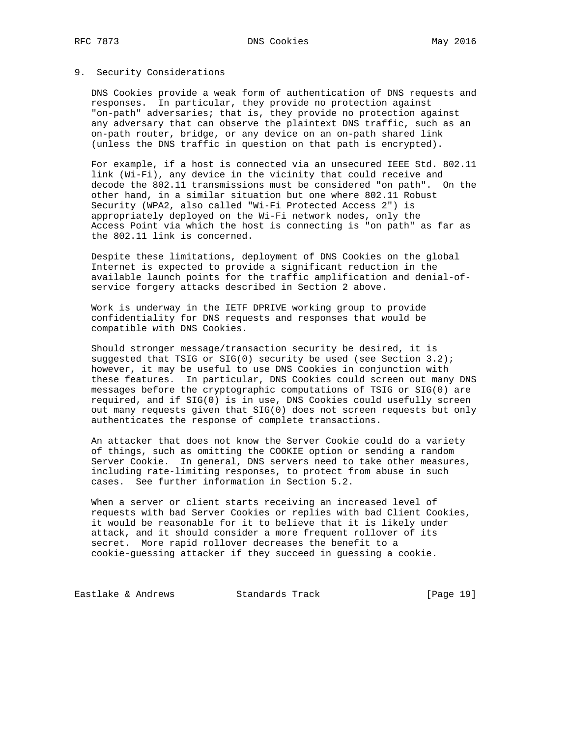### 9. Security Considerations

 DNS Cookies provide a weak form of authentication of DNS requests and responses. In particular, they provide no protection against "on-path" adversaries; that is, they provide no protection against any adversary that can observe the plaintext DNS traffic, such as an on-path router, bridge, or any device on an on-path shared link (unless the DNS traffic in question on that path is encrypted).

 For example, if a host is connected via an unsecured IEEE Std. 802.11 link (Wi-Fi), any device in the vicinity that could receive and decode the 802.11 transmissions must be considered "on path". On the other hand, in a similar situation but one where 802.11 Robust Security (WPA2, also called "Wi-Fi Protected Access 2") is appropriately deployed on the Wi-Fi network nodes, only the Access Point via which the host is connecting is "on path" as far as the 802.11 link is concerned.

 Despite these limitations, deployment of DNS Cookies on the global Internet is expected to provide a significant reduction in the available launch points for the traffic amplification and denial-of service forgery attacks described in Section 2 above.

 Work is underway in the IETF DPRIVE working group to provide confidentiality for DNS requests and responses that would be compatible with DNS Cookies.

 Should stronger message/transaction security be desired, it is suggested that TSIG or SIG(0) security be used (see Section 3.2); however, it may be useful to use DNS Cookies in conjunction with these features. In particular, DNS Cookies could screen out many DNS messages before the cryptographic computations of TSIG or SIG(0) are required, and if SIG(0) is in use, DNS Cookies could usefully screen out many requests given that SIG(0) does not screen requests but only authenticates the response of complete transactions.

 An attacker that does not know the Server Cookie could do a variety of things, such as omitting the COOKIE option or sending a random Server Cookie. In general, DNS servers need to take other measures, including rate-limiting responses, to protect from abuse in such cases. See further information in Section 5.2.

 When a server or client starts receiving an increased level of requests with bad Server Cookies or replies with bad Client Cookies, it would be reasonable for it to believe that it is likely under attack, and it should consider a more frequent rollover of its secret. More rapid rollover decreases the benefit to a cookie-guessing attacker if they succeed in guessing a cookie.

Eastlake & Andrews Standards Track [Page 19]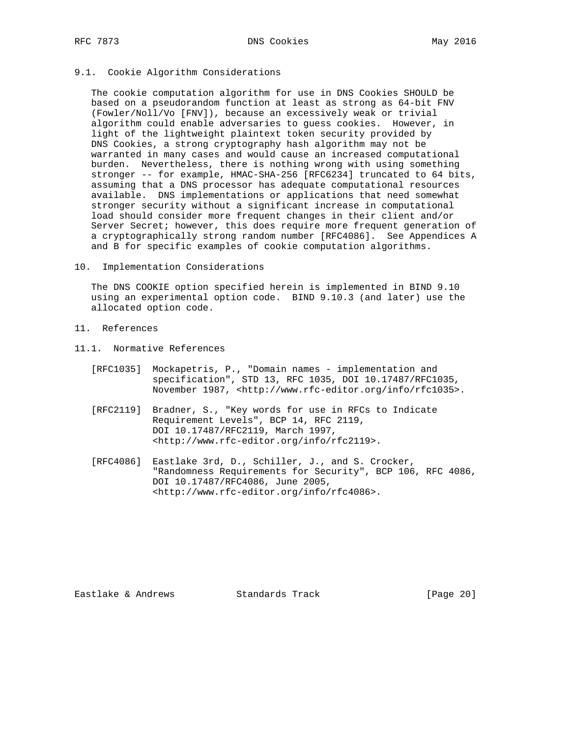## 9.1. Cookie Algorithm Considerations

 The cookie computation algorithm for use in DNS Cookies SHOULD be based on a pseudorandom function at least as strong as 64-bit FNV (Fowler/Noll/Vo [FNV]), because an excessively weak or trivial algorithm could enable adversaries to guess cookies. However, in light of the lightweight plaintext token security provided by DNS Cookies, a strong cryptography hash algorithm may not be warranted in many cases and would cause an increased computational burden. Nevertheless, there is nothing wrong with using something stronger -- for example, HMAC-SHA-256 [RFC6234] truncated to 64 bits, assuming that a DNS processor has adequate computational resources available. DNS implementations or applications that need somewhat stronger security without a significant increase in computational load should consider more frequent changes in their client and/or Server Secret; however, this does require more frequent generation of a cryptographically strong random number [RFC4086]. See Appendices A and B for specific examples of cookie computation algorithms.

#### 10. Implementation Considerations

 The DNS COOKIE option specified herein is implemented in BIND 9.10 using an experimental option code. BIND 9.10.3 (and later) use the allocated option code.

- 11. References
- 11.1. Normative References
	- [RFC1035] Mockapetris, P., "Domain names implementation and specification", STD 13, RFC 1035, DOI 10.17487/RFC1035, November 1987, <http://www.rfc-editor.org/info/rfc1035>.
	- [RFC2119] Bradner, S., "Key words for use in RFCs to Indicate Requirement Levels", BCP 14, RFC 2119, DOI 10.17487/RFC2119, March 1997, <http://www.rfc-editor.org/info/rfc2119>.
	- [RFC4086] Eastlake 3rd, D., Schiller, J., and S. Crocker, "Randomness Requirements for Security", BCP 106, RFC 4086, DOI 10.17487/RFC4086, June 2005, <http://www.rfc-editor.org/info/rfc4086>.

Eastlake & Andrews Standards Track [Page 20]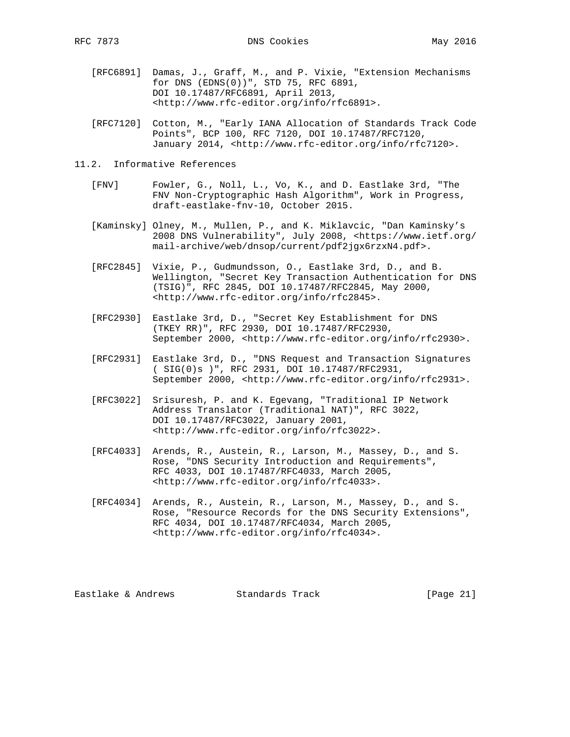- [RFC6891] Damas, J., Graff, M., and P. Vixie, "Extension Mechanisms for DNS (EDNS(0))", STD 75, RFC 6891, DOI 10.17487/RFC6891, April 2013, <http://www.rfc-editor.org/info/rfc6891>.
- [RFC7120] Cotton, M., "Early IANA Allocation of Standards Track Code Points", BCP 100, RFC 7120, DOI 10.17487/RFC7120, January 2014, <http://www.rfc-editor.org/info/rfc7120>.
- 11.2. Informative References
	- [FNV] Fowler, G., Noll, L., Vo, K., and D. Eastlake 3rd, "The FNV Non-Cryptographic Hash Algorithm", Work in Progress, draft-eastlake-fnv-10, October 2015.
	- [Kaminsky] Olney, M., Mullen, P., and K. Miklavcic, "Dan Kaminsky's 2008 DNS Vulnerability", July 2008, <https://www.ietf.org/ mail-archive/web/dnsop/current/pdf2jgx6rzxN4.pdf>.
	- [RFC2845] Vixie, P., Gudmundsson, O., Eastlake 3rd, D., and B. Wellington, "Secret Key Transaction Authentication for DNS (TSIG)", RFC 2845, DOI 10.17487/RFC2845, May 2000, <http://www.rfc-editor.org/info/rfc2845>.
	- [RFC2930] Eastlake 3rd, D., "Secret Key Establishment for DNS (TKEY RR)", RFC 2930, DOI 10.17487/RFC2930, September 2000, <http://www.rfc-editor.org/info/rfc2930>.
	- [RFC2931] Eastlake 3rd, D., "DNS Request and Transaction Signatures ( SIG(0)s )", RFC 2931, DOI 10.17487/RFC2931, September 2000, <http://www.rfc-editor.org/info/rfc2931>.
	- [RFC3022] Srisuresh, P. and K. Egevang, "Traditional IP Network Address Translator (Traditional NAT)", RFC 3022, DOI 10.17487/RFC3022, January 2001, <http://www.rfc-editor.org/info/rfc3022>.
	- [RFC4033] Arends, R., Austein, R., Larson, M., Massey, D., and S. Rose, "DNS Security Introduction and Requirements", RFC 4033, DOI 10.17487/RFC4033, March 2005, <http://www.rfc-editor.org/info/rfc4033>.
	- [RFC4034] Arends, R., Austein, R., Larson, M., Massey, D., and S. Rose, "Resource Records for the DNS Security Extensions", RFC 4034, DOI 10.17487/RFC4034, March 2005, <http://www.rfc-editor.org/info/rfc4034>.

Eastlake & Andrews Standards Track [Page 21]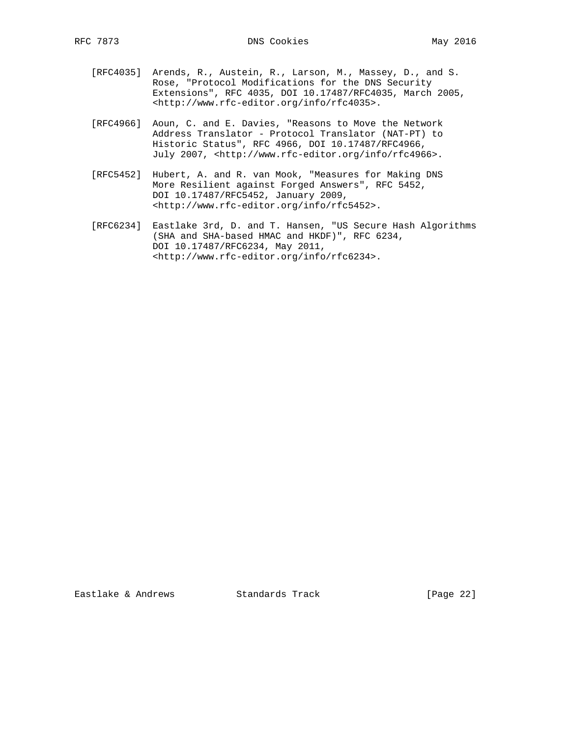- [RFC4035] Arends, R., Austein, R., Larson, M., Massey, D., and S. Rose, "Protocol Modifications for the DNS Security Extensions", RFC 4035, DOI 10.17487/RFC4035, March 2005, <http://www.rfc-editor.org/info/rfc4035>.
- [RFC4966] Aoun, C. and E. Davies, "Reasons to Move the Network Address Translator - Protocol Translator (NAT-PT) to Historic Status", RFC 4966, DOI 10.17487/RFC4966, July 2007, <http://www.rfc-editor.org/info/rfc4966>.
- [RFC5452] Hubert, A. and R. van Mook, "Measures for Making DNS More Resilient against Forged Answers", RFC 5452, DOI 10.17487/RFC5452, January 2009, <http://www.rfc-editor.org/info/rfc5452>.
- [RFC6234] Eastlake 3rd, D. and T. Hansen, "US Secure Hash Algorithms (SHA and SHA-based HMAC and HKDF)", RFC 6234, DOI 10.17487/RFC6234, May 2011, <http://www.rfc-editor.org/info/rfc6234>.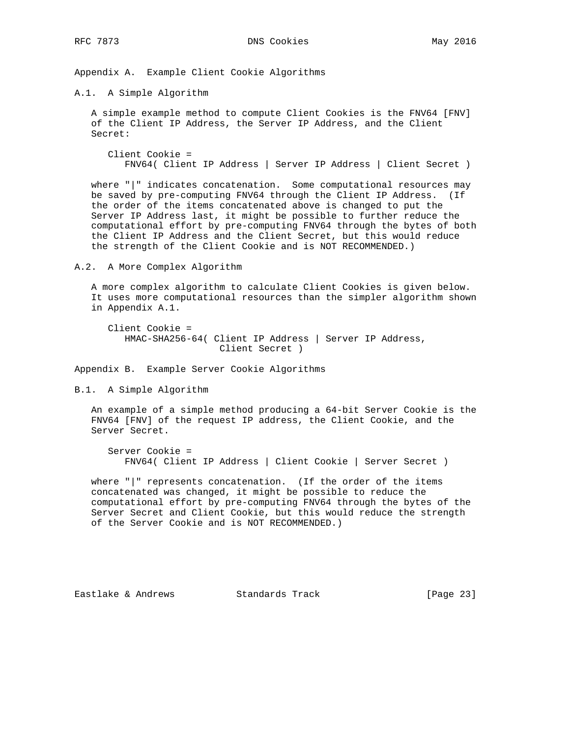Appendix A. Example Client Cookie Algorithms

A.1. A Simple Algorithm

 A simple example method to compute Client Cookies is the FNV64 [FNV] of the Client IP Address, the Server IP Address, and the Client Secret:

 Client Cookie = FNV64( Client IP Address | Server IP Address | Client Secret )

 where "|" indicates concatenation. Some computational resources may be saved by pre-computing FNV64 through the Client IP Address. (If the order of the items concatenated above is changed to put the Server IP Address last, it might be possible to further reduce the computational effort by pre-computing FNV64 through the bytes of both the Client IP Address and the Client Secret, but this would reduce the strength of the Client Cookie and is NOT RECOMMENDED.)

A.2. A More Complex Algorithm

 A more complex algorithm to calculate Client Cookies is given below. It uses more computational resources than the simpler algorithm shown in Appendix A.1.

 Client Cookie = HMAC-SHA256-64( Client IP Address | Server IP Address, Client Secret )

Appendix B. Example Server Cookie Algorithms

B.1. A Simple Algorithm

 An example of a simple method producing a 64-bit Server Cookie is the FNV64 [FNV] of the request IP address, the Client Cookie, and the Server Secret.

 Server Cookie = FNV64( Client IP Address | Client Cookie | Server Secret )

 where "|" represents concatenation. (If the order of the items concatenated was changed, it might be possible to reduce the computational effort by pre-computing FNV64 through the bytes of the Server Secret and Client Cookie, but this would reduce the strength of the Server Cookie and is NOT RECOMMENDED.)

Eastlake & Andrews Standards Track [Page 23]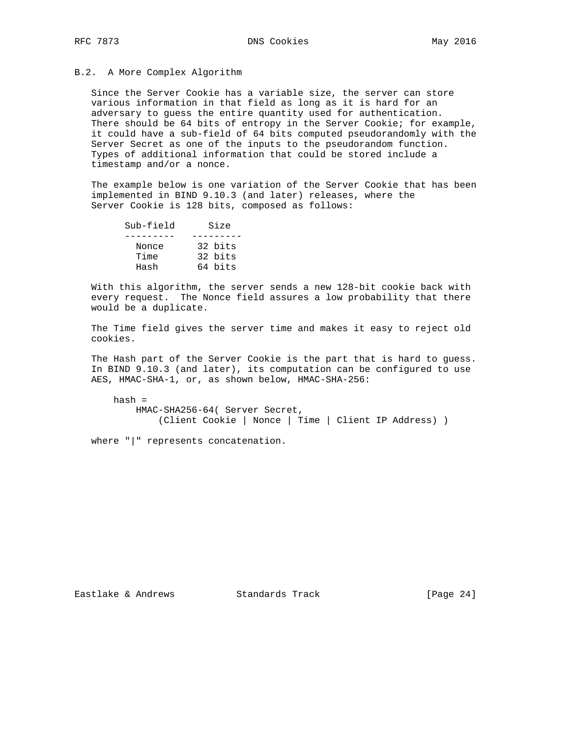### B.2. A More Complex Algorithm

 Since the Server Cookie has a variable size, the server can store various information in that field as long as it is hard for an adversary to guess the entire quantity used for authentication. There should be 64 bits of entropy in the Server Cookie; for example, it could have a sub-field of 64 bits computed pseudorandomly with the Server Secret as one of the inputs to the pseudorandom function. Types of additional information that could be stored include a timestamp and/or a nonce.

 The example below is one variation of the Server Cookie that has been implemented in BIND 9.10.3 (and later) releases, where the Server Cookie is 128 bits, composed as follows:

| Sub-field | Size    |  |
|-----------|---------|--|
|           |         |  |
| Nonce     | 32 bits |  |
| Time      | 32 bits |  |
| Hash      | 64 bits |  |

 With this algorithm, the server sends a new 128-bit cookie back with every request. The Nonce field assures a low probability that there would be a duplicate.

 The Time field gives the server time and makes it easy to reject old cookies.

 The Hash part of the Server Cookie is the part that is hard to guess. In BIND 9.10.3 (and later), its computation can be configured to use AES, HMAC-SHA-1, or, as shown below, HMAC-SHA-256:

 hash = HMAC-SHA256-64( Server Secret, (Client Cookie | Nonce | Time | Client IP Address) )

where "|" represents concatenation.